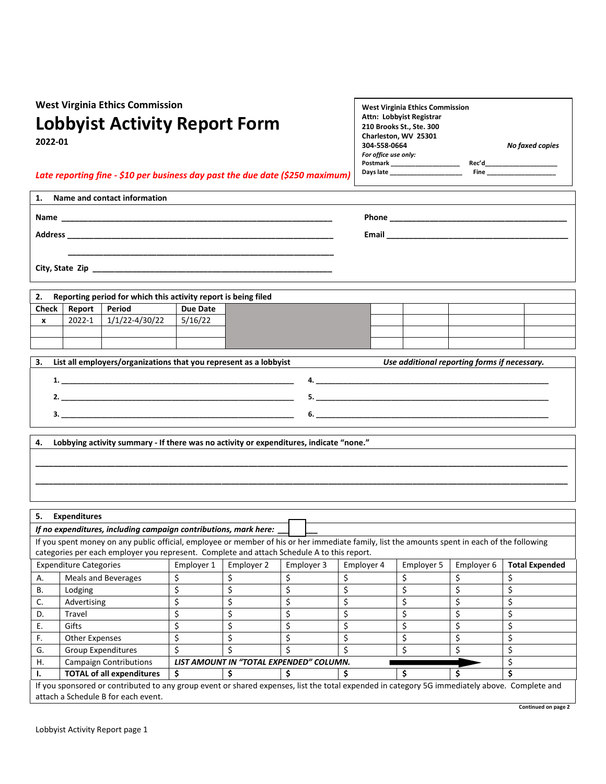**West Virginia Ethics Commission**

## **Lobbyist Activity Report Form**

**2022-01**

| <b>West Virginia Ethics Commission</b> |       |                        |
|----------------------------------------|-------|------------------------|
| Attn: Lobbyist Registrar               |       |                        |
| 210 Brooks St., Ste. 300               |       |                        |
| Charleston, WV 25301                   |       |                        |
| 304 558 0664                           |       | <b>No faxed copies</b> |
| For office use only:                   |       |                        |
| Postmark                               | Rec'd |                        |
| Davs late                              | Fine  |                        |
|                                        |       |                        |

**Continued on page 2**

## *Late reporting fine - \$10 per business day past the due date (\$250 maximum)*

| Name and contact information<br>1. |       |
|------------------------------------|-------|
| <b>Name</b>                        |       |
| <b>Address</b>                     | Email |
|                                    |       |
| City, State Zip                    |       |

| Reporting period for which this activity report is being filed<br>2. |        |                |          |  |  |  |  |
|----------------------------------------------------------------------|--------|----------------|----------|--|--|--|--|
| <b>Check</b>                                                         | Report | Period         | Due Date |  |  |  |  |
|                                                                      | 2022-1 | 1/1/22-4/30/22 | 5/16/22  |  |  |  |  |
|                                                                      |        |                |          |  |  |  |  |
|                                                                      |        |                |          |  |  |  |  |

| з. | List all employers/organizations that you represent as a lobbyist | Use additional reporting forms if necessary. |
|----|-------------------------------------------------------------------|----------------------------------------------|
|    |                                                                   |                                              |
|    |                                                                   |                                              |
|    |                                                                   |                                              |

**\_\_\_\_\_\_\_\_\_\_\_\_\_\_\_\_\_\_\_\_\_\_\_\_\_\_\_\_\_\_\_\_\_\_\_\_\_\_\_\_\_\_\_\_\_\_\_\_\_\_\_\_\_\_\_\_\_\_\_\_\_\_\_\_\_\_\_\_\_\_\_\_\_\_\_\_\_\_\_\_\_\_\_\_\_\_\_\_\_\_\_\_\_\_\_\_\_\_\_\_\_\_\_\_\_\_\_\_\_\_\_\_\_\_\_\_\_\_\_\_ \_\_\_\_\_\_\_\_\_\_\_\_\_\_\_\_\_\_\_\_\_\_\_\_\_\_\_\_\_\_\_\_\_\_\_\_\_\_\_\_\_\_\_\_\_\_\_\_\_\_\_\_\_\_\_\_\_\_\_\_\_\_\_\_\_\_\_\_\_\_\_\_\_\_\_\_\_\_\_\_\_\_\_\_\_\_\_\_\_\_\_\_\_\_\_\_\_\_\_\_\_\_\_\_\_\_\_\_\_\_\_\_\_\_\_\_\_\_\_\_**

**4. Lobbying activity summary - If there was no activity or expenditures, indicate "none."**

| 5.                                                                                                                                            | <b>Expenditures</b>                                                                                                                           |    |                                         |  |  |  |  |  |
|-----------------------------------------------------------------------------------------------------------------------------------------------|-----------------------------------------------------------------------------------------------------------------------------------------------|----|-----------------------------------------|--|--|--|--|--|
| If no expenditures, including campaign contributions, mark here:                                                                              |                                                                                                                                               |    |                                         |  |  |  |  |  |
|                                                                                                                                               | If you spent money on any public official, employee or member of his or her immediate family, list the amounts spent in each of the following |    |                                         |  |  |  |  |  |
|                                                                                                                                               | categories per each employer you represent. Complete and attach Schedule A to this report.                                                    |    |                                         |  |  |  |  |  |
|                                                                                                                                               | <b>Expenditure Categories</b><br>Employer 1<br>Employer 2<br>Employer 3<br>Employer 6<br><b>Total Expended</b><br>Employer 4<br>Employer 5    |    |                                         |  |  |  |  |  |
| А.                                                                                                                                            | <b>Meals and Beverages</b>                                                                                                                    | \$ |                                         |  |  |  |  |  |
| В.                                                                                                                                            | Lodging                                                                                                                                       | \$ |                                         |  |  |  |  |  |
| C.                                                                                                                                            | Advertising                                                                                                                                   | \$ |                                         |  |  |  |  |  |
| D.                                                                                                                                            | Travel                                                                                                                                        |    |                                         |  |  |  |  |  |
| Е.                                                                                                                                            | Gifts                                                                                                                                         | \$ |                                         |  |  |  |  |  |
| F.                                                                                                                                            | Other Expenses                                                                                                                                | \$ |                                         |  |  |  |  |  |
| G.                                                                                                                                            | <b>Group Expenditures</b>                                                                                                                     | \$ |                                         |  |  |  |  |  |
| Η.                                                                                                                                            | <b>Campaign Contributions</b>                                                                                                                 |    | LIST AMOUNT IN "TOTAL EXPENDED" COLUMN. |  |  |  |  |  |
|                                                                                                                                               | <b>TOTAL of all expenditures</b>                                                                                                              | Ś  |                                         |  |  |  |  |  |
| If you sponsored or contributed to any group event or shared expenses, list the total expended in category 5G immediately above. Complete and |                                                                                                                                               |    |                                         |  |  |  |  |  |
| attach a Schedule B for each event.                                                                                                           |                                                                                                                                               |    |                                         |  |  |  |  |  |